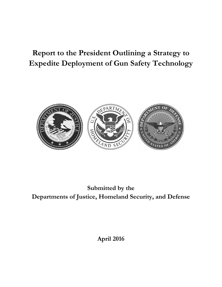# **Report to the President Outlining a Strategy to Expedite Deployment of Gun Safety Technology**



**Submitted by the Departments of Justice, Homeland Security, and Defense**

**April 2016**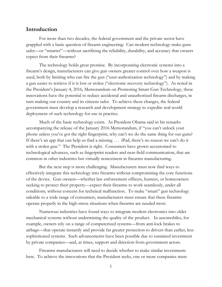### **Introduction**

For more than two decades, the federal government and the private sector have grappled with a basic question of firearm engineering: Can modern technology make guns safer—or "smarter"—without sacrificing the reliability, durability, and accuracy that owners expect from their firearms?

The technology holds great promise. By incorporating electronic systems into a firearm's design, manufacturers can give gun owners greater control over how a weapon is used, both by limiting who can fire the gun ("user-authorization technology") and by making a gun easier to retrieve if it is lost or stolen ("electronic recovery technology"). As noted in the President's January 4, 2016, Memorandum on Promoting Smart Gun Technology, these innovations have the potential to reduce accidental and unauthorized firearm discharges, in turn making our country and its citizens safer. To achieve these changes, the federal government must develop a research and development strategy to expedite real-world deployment of such technology for use in practice.

Much of the basic technology exists. As President Obama said in his remarks accompanying the release of the January 2016 Memorandum, if "you can't unlock your phone unless you've got the right fingerprint, why can't we do the same thing for our guns? If there's an app that can help us find a missing . . . iPad, there's no reason we can't do it with a stolen gun." The President is right. Consumers have grown accustomed to technological advances, such as fingerprint readers and near-field communication, that are common in other industries but virtually nonexistent in firearms manufacturing.

But the next step is more challenging. Manufacturers must now find ways to effectively integrate this technology into firearms without compromising the core functions of the device. Gun owners—whether law enforcement officers, hunters, or homeowners seeking to protect their property—expect their firearms to work seamlessly, under all conditions, without concern for technical malfunction. To make "smart" gun technology saleable to a wide range of consumers, manufacturers must ensure that these firearms operate properly in the high-stress situations when firearms are needed most.

Numerous industries have found ways to integrate modern electronics into older mechanical systems without undermining the quality of the product. In automobiles, for example, owners rely on a range of computerized systems—from anti-lock brakes to airbags—that operate instantly and provide far greater protection to drivers than earlier, less sophisticated systems. Such advancements have been possible due to sustained investment by private companies—and, at times, support and direction from government actors.

Firearms manufacturers will need to decide whether to make similar investments here. To achieve the innovations that the President seeks, one or more companies must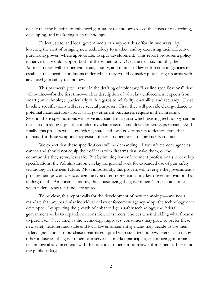decide that the benefits of enhanced gun safety technology exceed the costs of researching, developing, and marketing such technology.

Federal, state, and local governments can support this effort in two ways: by lowering the cost of bringing new technology to market, and by exercising their collective purchasing power, where appropriate, to spur development. This report proposes a policy initiative that would support both of these methods. Over the next six months, the Administration will partner with state, county, and municipal law enforcement agencies to establish the specific conditions under which they would consider purchasing firearms with advanced gun safety technology.

This partnership will result in the drafting of voluntary "baseline specifications" that will outline—for the first time—a clear description of what law enforcement expects from smart gun technology, particularly with regards to reliability, durability, and accuracy. These baseline specifications will serve several purposes. First, they will provide clear guidance to potential manufacturers about what government purchasers require in their firearms. Second, these specifications will serve as a standard against which existing technology can be measured, making it possible to identify what research and development gaps remain. And finally, this process will allow federal, state, and local governments to demonstrate that demand for these weapons may exist—if certain operational requirements are met.

We expect that these specifications will be demanding. Law enforcement agencies cannot and should not equip their officers with firearms that make them, or the communities they serve, less safe. But by inviting law enforcement professionals to develop specifications, the Administration can lay the groundwork for expanded use of gun safety technology in the near future. Most importantly, this process will leverage the government's procurement power to encourage the type of entrepreneurial, market-driven innovation that undergirds the American economy, thus maximizing the government's impact at a time when federal research funds are scarce.

To be clear, this report calls for the development of new technology—and not a mandate that any particular individual or law enforcement agency adopt the technology once developed. By spurring the growth of enhanced gun safety technology, the federal government seeks to expand, not constrict, consumers' choices when deciding what firearm to purchase. Over time, as the technology improves, consumers may grow to prefer these new safety features, and state and local law enforcement agencies may decide to use their federal grant funds to purchase firearms equipped with such technology. Here, as in many other industries, the government can serve as a market participant, encouraging important technological advancements with the potential to benefit both law enforcement officers and the public at large.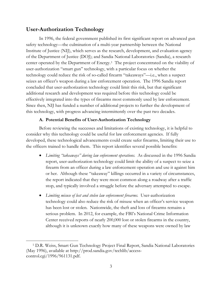## **User-Authorization Technology**

 $\overline{\phantom{a}}$ 

In 1996, the federal government published its first significant report on advanced gun safety technology—the culmination of a multi-year partnership between the National Institute of Justice (NIJ), which serves as the research, development, and evaluation agency of the Department of Justice (DOJ); and Sandia National Laboratories (Sandia), a research center operated by the Department of Energy.[1](#page-3-0) The project concentrated on the viability of user-authorization "smart gun" technology, with a particular focus on whether the technology could reduce the risk of so-called firearm "takeaways"—i.e., when a suspect seizes an officer's weapon during a law enforcement operation. The 1996 Sandia report concluded that user-authorization technology could limit this risk, but that significant additional research and development was required before this technology could be effectively integrated into the types of firearms most commonly used by law enforcement. Since then, NIJ has funded a number of additional projects to further the development of this technology, with progress advancing intermittently over the past two decades.

### **A. Potential Benefits of User-Authorization Technology**

Before reviewing the successes and limitations of existing technology, it is helpful to consider why this technology could be useful for law enforcement agencies. If fully developed, these technological advancements could create safer firearms, limiting their use to the officers trained to handle them. This report identifies several possible benefits:

- *Limiting "takeaways" during law enforcement operations.* As discussed in the 1996 Sandia report, user-authorization technology could limit the ability of a suspect to seize a firearm from an officer during a law enforcement operation and use it against him or her. Although these "takeaway" killings occurred in a variety of circumstances, the report indicated that they were most common along a roadway after a traffic stop, and typically involved a struggle before the adversary attempted to escape.
- *Limiting misuse of lost and stolen law enforcement firearms.* User-authorization technology could also reduce the risk of misuse when an officer's service weapon has been lost or stolen. Nationwide, the theft and loss of firearms remains a serious problem. In 2012, for example, the FBI's National Crime Information Center received reports of nearly 200,000 lost or stolen firearms in the country, although it is unknown exactly how many of these weapons were owned by law

<span id="page-3-0"></span><sup>1</sup> D.R. Weiss, Smart Gun Technology Project Final Report, Sandia National Laboratories (May 1996), available at http://prod.sandia.gov/techlib/accesscontrol.cgi/1996/961131.pdf.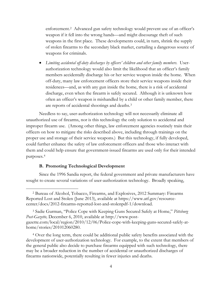enforcement.[2](#page-4-0) Advanced gun safety technology would prevent use of an officer's weapon if it fell into the wrong hands—and might discourage theft of such weapons in the first place. These developments could, in turn, shrink the supply of stolen firearms to the secondary black market, curtailing a dangerous source of weapons for criminals.

• *Limiting accidental off-duty discharges by officers' children and other family members.* Userauthorization technology would also limit the likelihood that an officer's family members accidentally discharge his or her service weapon inside the home. When off-duty, many law enforcement officers store their service weapons inside their residences—and, as with any gun inside the home, there is a risk of accidental discharge, even when the firearm is safely secured. Although it is unknown how often an officer's weapon is mishandled by a child or other family member, there are reports of accidental shootings and deaths.[3](#page-4-1) 

Needless to say, user-authorization technology will not necessarily eliminate all unauthorized use of firearms, nor is this technology the only solution to accidental and improper firearm use. (Among other things, law enforcement agencies routinely train their officers on how to mitigate the risks described above, including through trainings on the proper use and storage of their service weapons.) But this technology, if fully developed, could further enhance the safety of law enforcement officers and those who interact with them and could help ensure that government-issued firearms are used only for their intended purposes.[4](#page-4-2)

#### **B. Promoting Technological Development**

 $\overline{\phantom{a}}$ 

Since the 1996 Sandia report, the federal government and private manufacturers have sought to create several variations of user-authorization technology. Broadly speaking,

<span id="page-4-0"></span><sup>2</sup> Bureau of Alcohol, Tobacco, Firearms, and Explosives, 2012 Summary: Firearms Reported Lost and Stolen (June 2013), available at https://www.atf.gov/resourcecenter/docs/2012-firearms-reported-lost-and-stolenpdf-1/download.

<span id="page-4-1"></span><sup>3</sup> Sadie Gurman, "Police Cope with Keeping Guns Secured Safely at Home," *Pittsburg Post-Gazette,* December 6, 2010, available at http://www.postgazette.com/local/region/2010/12/06/Police-cope-with-keeping-guns-secured-safely-athome/stories/201012060280.

<span id="page-4-2"></span><sup>4</sup> Over the long term, there could be additional public safety benefits associated with the development of user-authorization technology. For example, to the extent that members of the general public also decide to purchase firearms equipped with such technology, there may be a broader reduction in the number of accidental or unauthorized discharges of firearms nationwide, potentially resulting in fewer injuries and deaths.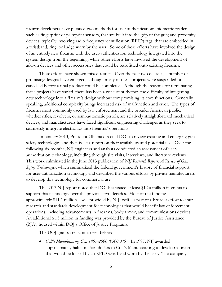firearm developers have pursued two methods for user authentication: biometric readers, such as fingerprint or palmprint sensors, that are built into the grip of the gun; and proximity devices, typically involving radio frequency identification (RFID) tags, that are embedded in a wristband, ring, or badge worn by the user. Some of these efforts have involved the design of an entirely new firearm, with the user-authentication technology integrated into the system design from the beginning, while other efforts have involved the development of add-on devices and other accessories that could be retrofitted onto existing firearms.

These efforts have shown mixed results. Over the past two decades, a number of promising designs have emerged, although many of these projects were suspended or cancelled before a final product could be completed. Although the reasons for terminating these projects have varied, there has been a consistent theme: the difficulty of integrating new technology into a firearm's design without compromising its core functions. Generally speaking, additional complexity brings increased risk of malfunction and error. The types of firearms most commonly used by law enforcement and the broader American public, whether rifles, revolvers, or semi-automatic pistols, are relatively straightforward mechanical devices, and manufacturers have faced significant engineering challenges as they seek to seamlessly integrate electronics into firearms' operations.

In January 2013, President Obama directed DOJ to review existing and emerging gun safety technologies and then issue a report on their availability and potential use. Over the following six months, NIJ engineers and analysts conducted an assessment of userauthorization technology, including through site visits, interviews, and literature reviews. This work culminated in the June 2013 publication of *NIJ Research Report: A Review of Gun Safety Technologies*, which summarized the federal government's history of financial support for user-authorization technology and described the various efforts by private manufacturers to develop this technology for commercial use.

The 2013 NIJ report noted that DOJ has issued at least \$12.6 million in grants to support this technology over the previous two decades. Most of the funding approximately \$11.1 million—was provided by NIJ itself, as part of a broader effort to spur research and standards development for technologies that would benefit law enforcement operations, including advancements in firearms, body armor, and communications devices. An additional \$1.5 million in funding was provided by the Bureau of Justice Assistance (BJA), housed within DOJ's Office of Justice Programs.

The DOJ grants are summarized below:

• *Colt's Manufacturing Co., 1997-2000 (\$500,079)*. In 1997, NIJ awarded approximately half a million dollars to Colt's Manufacturing to develop a firearm that would be locked by an RFID wristband worn by the user. The company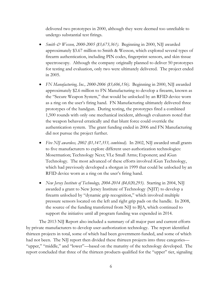delivered two prototypes in 2000, although they were deemed too unreliable to undergo substantial test firings.

- *Smith & Wesson, 2000-2005 (\$3,673,361)*. Beginning in 2000, NIJ awarded approximately \$3.67 million to Smith & Wesson, which explored several types of firearm authentication, including PIN codes, fingerprint sensors, and skin tissue spectroscopy. Although the company originally planned to deliver 50 prototypes for testing and evaluation, only two were ultimately delivered. The project ended in 2005.
- *FN Manufacturing, Inc., 2000-2006 (\$3,606,156)*. Beginning in 2000, NIJ awarded approximately \$2.6 million to FN Manufacturing to develop a firearm, known as the "Secure Weapon System," that would be unlocked by an RFID device worn as a ring on the user's firing hand. FN Manufacturing ultimately delivered three prototypes of the handgun. During testing, the prototypes fired a combined 1,500 rounds with only one mechanical incident, although evaluators noted that the weapon behaved erratically and that blunt force could override the authentication system. The grant funding ended in 2006 and FN Manufacturing did not pursue the project further.
- *Five NIJ awardees, 2002 (\$1,147,353, combined)*. In 2002, NIJ awarded small grants to five manufacturers to explore different user-authorization technologies: Mosermation; Technology Next; VLe Small Arms; Exponent; and iGun Technology. The most advanced of these efforts involved iGun Technology, which had previously developed a shotgun in 1999 that could be unlocked by an RFID device worn as a ring on the user's firing hand.
- *New Jersey Institute of Technology, 2004-2014 (\$4,020,293)*. Starting in 2004, NIJ awarded a grant to New Jersey Institute of Technology (NJIT) to develop a firearm unlocked by "dynamic grip recognition," which involved multiple pressure sensors located on the left and right grip pads on the handle. In 2008, the source of the funding transferred from NIJ to BJA, which continued to support the initiative until all program funding was expended in 2014.

The 2013 NIJ Report also included a summary of all major past and current efforts by private manufacturers to develop user-authorization technology. The report identified thirteen projects in total, some of which had been government-funded, and some of which had not been. The NIJ report then divided these thirteen projects into three categories— "upper," "middle," and "lower"—based on the maturity of the technology developed. The report concluded that three of the thirteen products qualified for the "upper" tier, signaling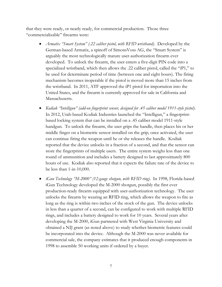that they were ready, or nearly ready, for commercial production. Those three "commercializable" firearms were:

- *Armatix "Smart System" (.22 caliber pistol, with RFID wristband)*. Developed by the German-based Armatix, a spinoff of SimonsVoss AG, the "Smart System" is arguably the most technologically mature user-authorization firearm ever developed. To unlock the firearm, the user enters a five-digit PIN code into a specialized wristband, which then allows the .22 caliber pistol, called the "iP1," to be used for determinate period of time (between one and eight hours). The firing mechanism becomes inoperable if the pistol is moved more than 15 inches from the wristband. In 2011, ATF approved the iP1 pistol for importation into the United States, and the firearm is currently approved for sale in California and Massachusetts.
- *Kodiak "Intelligun" (add-on fingerprint sensor, designed for .45 caliber model 1911-style pistol)*. In 2012, Utah-based Kodiak Industries launched the "Intelligun," a fingerprintbased locking system that can be installed on a .45 caliber model 1911-style handgun. To unlock the firearm, the user grips the handle, then places his or her middle finger on a biometric sensor installed on the grip; once activated, the user can continue firing the weapon until he or she releases the handle. Kodiak reported that the device unlocks in a fraction of a second, and that the sensor can store the fingerprints of multiple users. The entire system weighs less than one round of ammunition and includes a battery designed to last approximately 800 hours of use. Kodiak also reported that it expects the failure rate of the device to be less than 1-in-10,000.
- *iGun Technology "M-2000" (12-gauge shotgun, with RFID ring)*. In 1998, Florida-based iGun Technology developed the M-2000 shotgun, possibly the first ever production-ready firearm equipped with user-authorization technology. The user unlocks the firearm by wearing an RFID ring, which allows the weapon to fire as long as the ring is within two inches of the stock of the gun. The device unlocks in less than a quarter of a second, can be configured to work with multiple RFID rings, and includes a battery designed to work for 10 years. Several years after developing the M-2000, iGun partnered with West Virginia University and obtained a NIJ grant (as noted above) to study whether biometric features could be incorporated into the device. Although the M-2000 was never available for commercial sale, the company estimates that it produced enough components in 1998 to assemble 50 working units if ordered by a buyer.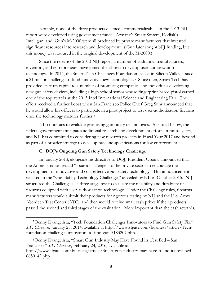Notably, none of the three products deemed "commercializable" in the 2013 NIJ report were developed using government funds. Armatix's Smart System, Kodiak's Intelligun, and iGun's M-2000 were all produced by private manufacturers that invested significant resources into research and development. (iGun later sought NIJ funding, but this money was not used in the original development of the M-2000.)

Since the release of the 2013 NIJ report, a number of additional manufacturers, inventors, and entrepreneurs have joined the effort to develop user-authorization technology. In 2014, the Smart Tech Challenges Foundation, based in Silicon Valley, issued a \$1 million challenge to fund innovative new technologies.[5](#page-8-0) Since then, Smart Tech has provided start-up capital to a number of promising companies and individuals developing new gun safety devices, including a high school senior whose fingerprint-based pistol earned one of the top awards at the 2013 Intel International Science and Engineering Fair. The effort received a further boost when San Francisco Police Chief Greg Suhr announced that he would allow his officers to participate in a pilot project to test user-authorization firearms once the technology matures further.[6](#page-8-1)

NIJ continues to evaluate promising gun safety technologies. As noted below, the federal government anticipates additional research and development efforts in future years, and NIJ has committed to considering new research projects in Fiscal Year 2017 and beyond as part of a broader strategy to develop baseline specifications for law enforcement use.

### **C. DOJ's Ongoing Gun Safety Technology Challenge**

 $\overline{\phantom{a}}$ 

In January 2013, alongside his directive to DOJ, President Obama announced that the Administration would "issue a challenge" to the private sector to encourage the development of innovative and cost-effective gun safety technology. This announcement resulted in the "Gun Safety Technology Challenge," unveiled by NIJ in October 2015. NIJ structured the Challenge as a three-stage test to evaluate the reliability and durability of firearms equipped with user-authorization technology. Under the Challenge rules, firearms manufacturers would submit their products for rigorous testing by NIJ and the U.S. Army Aberdeen Test Center (ATC), and then would receive small cash prizes if their products passed the second and third stages of the evaluation. More important than the cash rewards,

<span id="page-8-1"></span><sup>6</sup> Benny Evangelista, "Smart Gun Industry May Have Found its Test Bed – San Francisco," *S.F. Chronicle*, February 24, 2016, available at http://www.sfgate.com/business/article/Smart-gun-industry-may-have-found-its-test-bed-6850142.php.

<span id="page-8-0"></span><sup>5</sup> Benny Evangelista, "Tech Foundation Challenges Innovators to Find Gun Safety Fix," *S.F. Chronicle*, January 28, 2014, available at http://www.sfgate.com/business/article/Techfoundation-challenges-innovators-to-find-gun-5183207.php.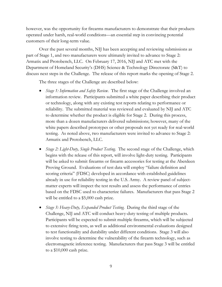however, was the opportunity for firearms manufacturers to demonstrate that their products operated under harsh, real-world conditions—an essential step in convincing potential customers of their long-term value.

Over the past several months, NIJ has been accepting and reviewing submissions as part of Stage 1, and two manufacturers were ultimately invited to advance to Stage 2: Armatix and Protobench, LLC. On February 17, 2016, NIJ and ATC met with the Department of Homeland Security's (DHS) Science & Technology Directorate (S&T) to discuss next steps in the Challenge. The release of this report marks the opening of Stage 2.

The three stages of the Challenge are described below:

- *Stage 1: Information and Safety Review.* The first stage of the Challenge involved an information review. Participants submitted a white paper describing their product or technology, along with any existing test reports relating to performance or reliability. The submitted material was reviewed and evaluated by NIJ and ATC to determine whether the product is eligible for Stage 2. During this process, more than a dozen manufacturers delivered submissions; however, many of the white papers described prototypes or other proposals not yet ready for real-world testing. As noted above, two manufacturers were invited to advance to Stage 2: Armatix and Protobench, LLC.
- *Stage 2: Light-Duty, Single Product Testing.* The second stage of the Challenge, which begins with the release of this report, will involve light-duty testing. Participants will be asked to submit firearms or firearm accessories for testing at the Aberdeen Proving Ground. Evaluations of test data will employ "failure definition and scoring criteria" (FDSC) developed in accordance with established guidelines already in use for reliability testing in the U.S. Army. A review panel of subjectmatter experts will inspect the test results and assess the performance of entries based on the FDSC used to characterize failures. Manufacturers that pass Stage 2 will be entitled to a \$5,000 cash prize.
- *Stage 3: Heavy-Duty, Expanded Product Testing.* During the third stage of the Challenge, NIJ and ATC will conduct heavy-duty testing of multiple products. Participants will be expected to submit multiple firearms, which will be subjected to extensive firing tests, as well as additional environmental evaluations designed to test functionality and durability under different conditions. Stage 3 will also involve testing to determine the vulnerability of the firearm technology, such as electromagnetic inference testing. Manufacturers that pass Stage 3 will be entitled to a \$10,000 cash prize.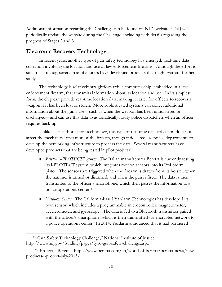Additional information regarding the Challenge can be found on NIJ's website.[7](#page-10-0) NIJ will periodically update the website during the Challenge, including with details regarding the progress of Stages 2 and 3.

# **Electronic Recovery Technology**

In recent years, another type of gun safety technology has emerged: real-time data collection involving the location and use of law enforcement firearms. Although the effort is still in its infancy, several manufacturers have developed products that might warrant further study.

The technology is relatively straightforward: a computer chip, embedded in a law enforcement firearm, that transmits information about its location and use. In its simplest form, the chip can provide real-time location data, making it easier for officers to recover a weapon if it has been lost or stolen. More sophisticated systems can collect additional information about the gun's use—such as when the weapon has been unholstered or discharged—and can use this data to automatically notify police dispatchers when an officer requires back-up.

Unlike user-authorization technology, this type of real-time data collection does not affect the mechanical operation of the firearm, though it does require police departments to develop the networking infrastructure to process the data. Several manufacturers have developed products that are being tested in pilot projects:

- *Beretta "i-PROTECT" System.* The Italian manufacturer Beretta is currently testing its i-PROTECT system, which integrates motion sensors into its Px4 Storm pistol. The sensors are triggered when the firearm is drawn from its holster, when the hammer is armed or disarmed, and when the gun is fired. The data is then transmitted to the officer's smartphone, which then passes the information to a police operations center.[8](#page-10-1)
- *Yardarm Sensor*. The California-based Yardarm Technologies has developed its own sensor, which includes a programmable microcontroller, magnetometer, accelerometer, and gyroscope. The data is fed to a Bluetooth transmitter paired with the officer's smartphone, which is then transmitted via encrypted network to a police operations center. In 2014, Yardarm announced that it had partnered

 $\overline{\phantom{a}}$ 

<span id="page-10-0"></span><sup>7</sup> "Gun Safety Technology Challenge," National Institute of Justice, http://www.nij.gov/funding/pages/fy16-gun-safety-challenge.aspx

<span id="page-10-1"></span><sup>8</sup> "i-Protect," Beretta, http://www.beretta.com/en/world-of-beretta/beretta-news/newproducts-i-protect-july-2015/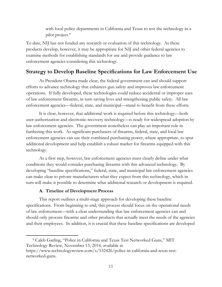with local police departments in California and Texas to test the technology in a pilot project.[9](#page-11-0) 

To date, NIJ has not funded any research or evaluation of this technology. As these products develop, however, it may be appropriate for NIJ and other federal agencies to examine methods for establishing standards for use and provide guidance to law enforcement agencies considering this technology.

# **Strategy to Develop Baseline Specifications for Law Enforcement Use**

As President Obama made clear, the federal government can and should support efforts to advance technology that enhances gun safety and improves law enforcement operations. If fully developed, these technologies could reduce accidental or improper uses of law enforcement firearms, in turn saving lives and strengthening public safety. All law enforcement agencies—federal, state, and municipal—stand to benefit from these efforts.

It is clear, however, that additional work is required before this technology—both user-authorization and electronic-recovery technology—is ready for widespread adoption by law enforcement agencies. The government nonetheless can play an important role in furthering this work. As significant purchasers of firearms, federal, state, and local law enforcement agencies can use their combined purchasing power, where appropriate, to spur additional development and help establish a robust market for firearms equipped with this technology.

As a first step, however, law enforcement agencies must clearly define under what conditions they would consider purchasing firearms with this advanced technology. By developing "baseline specifications," federal, state, and municipal law enforcement agencies can make clear to private manufacturers what they expect from this technology, which in turn will make it possible to determine what additional research or development is required.

### **A. Timeline of Development Process**

This report outlines a multi-stage approach for developing these baseline specifications. From beginning to end, this process should focus on the operational needs of law enforcement—with a clear understanding that law enforcement agencies can and should only procure firearms and other products that actually meet the needs of the agencies and their employees. In addition, it is crucial that these baseline specifications are developed

<span id="page-11-0"></span> $\overline{\phantom{a}}$ <sup>9</sup> Caleb Garling, "Police in California and Texas Test Networked Guns," MIT Technology Review, November 13, 2014, available at https://www.technologyreview.com/s/532426/police-in-california-and-texas-testnetworked-guns.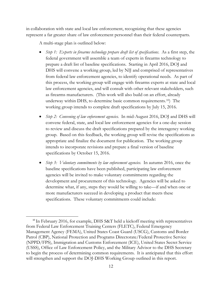in collaboration with state and local law enforcement, recognizing that these agencies represent a far greater share of law enforcement personnel than their federal counterparts.

A multi-stage plan is outlined below:

- *Step 1: Experts in firearms technology prepare draft list of specifications*. As a first step, the federal government will assemble a team of experts in firearms technology to prepare a draft list of baseline specifications. Starting in April 2016, DOJ and DHS will convene a working group, led by NIJ and comprised of representatives from federal law enforcement agencies, to identify operational needs. As part of this process, the working group will engage with firearms experts at state and local law enforcement agencies, and will consult with other relevant stakeholders, such as firearms manufacturers. (This work will also build on an effort, already underway within DHS, to determine basic common requirements.[10](#page-12-0)) The working group intends to complete draft specifications by July 15, 2016.
- *Step 2: Convening of law enforcement agencies.* In mid-August 2016, DOJ and DHS will convene federal, state, and local law enforcement agencies for a one-day session to review and discuss the draft specifications prepared by the interagency working group. Based on this feedback, the working group will revise the specifications as appropriate and finalize the document for publication. The working group intends to incorporate revisions and prepare a final version of baseline specifications by October 15, 2016.
- *Step 3: Voluntary commitments by law enforcement agencies.* In autumn 2016, once the baseline specifications have been published, participating law enforcement agencies will be invited to make voluntary commitments regarding the development and procurement of this technology. Agencies will be asked to determine what, if any, steps they would be willing to take—if and when one or more manufacturers succeed in developing a product that meets these specifications. These voluntary commitments could include:

<span id="page-12-0"></span> $10$  In February 2016, for example, DHS S&T held a kickoff meeting with representatives from Federal Law Enforcement Training Centers (FLETC), Federal Emergency Management Agency (FEMA), United States Coast Guard (USCG), Customs and Border Patrol (CBP), National Protection and Programs Directorate/Federal Protective Service (NPPD/FPS), Immigration and Customs Enforcement (ICE), United States Secret Service (USSS), Office of Law Enforcement Policy, and the Military Advisor to the DHS Secretary to begin the process of determining common requirements. It is anticipated that this effort will strengthen and support the DOJ-DHS Working Group outlined in this report.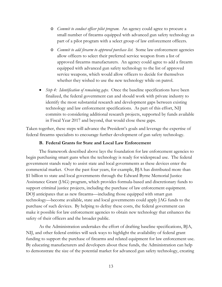- o *Commit to conduct officer pilot program.* An agency could agree to procure a small number of firearms equipped with advanced gun safety technology as part of a pilot program with a select group of law enforcement officers.
- o *Commit to add firearm to approved purchase list.* Some law enforcement agencies allow officers to select their preferred service weapon from a list of approved firearms manufacturers. An agency could agree to add a firearm equipped with advanced gun safety technology to the list of approved service weapons, which would allow officers to decide for themselves whether they wished to use the new technology while on patrol.
- *Step 4: Identification of remaining gaps.* Once the baseline specifications have been finalized, the federal government can and should work with private industry to identify the most substantial research and development gaps between existing technology and law enforcement specifications. As part of this effort, NIJ commits to considering additional research projects, supported by funds available in Fiscal Year 2017 and beyond, that would close these gaps.

Taken together, these steps will advance the President's goals and leverage the expertise of federal firearms specialists to encourage further development of gun safety technology.

#### **B. Federal Grants for State and Local Law Enforcement**

The framework described above lays the foundation for law enforcement agencies to begin purchasing smart guns when the technology is ready for widespread use. The federal government stands ready to assist state and local governments as these devices enter the commercial market. Over the past four years, for example, BJA has distributed more than \$1 billion to state and local governments through the Edward Byrne Memorial Justice Assistance Grant (JAG) program, which provides formula-based and discretionary funds to support criminal justice projects, including the purchase of law enforcement equipment. DOJ anticipates that as new firearms—including those equipped with smart gun technology—become available, state and local governments could apply JAG funds to the purchase of such devices. By helping to defray these costs, the federal government can make it possible for law enforcement agencies to obtain new technology that enhances the safety of their officers and the broader public.

As the Administration undertakes the effort of drafting baseline specifications, BJA, NIJ, and other federal entities will seek ways to highlight the availability of federal grant funding to support the purchase of firearms and related equipment for law enforcement use. By educating manufacturers and developers about these funds, the Administration can help to demonstrate the size of the potential market for advanced gun safety technology, creating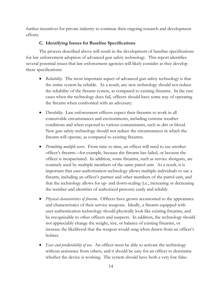further incentives for private industry to continue their ongoing research and development efforts.

### **C. Identifying Issues for Baseline Specifications**

The process described above will result in the development of baseline specifications for law enforcement adoption of advanced gun safety technology. This report identifies several potential issues that law enforcement agencies will likely consider as they develop these specifications:

- *Reliability*. The most important aspect of advanced gun safety technology is that the entire system be reliable. As a result, any new technology should not reduce the reliability of the firearm system, as compared to existing firearms. In the rare cases when the technology does fail, officers should have some way of operating the firearm when confronted with an adversary.
- *Durability*. Law enforcement officers expect their firearms to work in all conceivable circumstances and environments, including extreme weather conditions and when exposed to various contaminants, such as dirt or blood. New gun safety technology should not reduce the circumstances in which the firearm will operate, as compared to existing firearms.
- *Permitting multiple users.* From time to time, an officer will need to use another officer's firearm—for example, because the firearm has failed, or because the officer is incapacitated. In addition, some firearms, such as service shotguns, are routinely used by multiple members of the same patrol unit. As a result, it is important that user-authorization technology allows multiple individuals to use a firearm, including an officer's partner and other members of the patrol unit, and that the technology allows for up- and down-scaling (i.e., increasing or decreasing the number and identities of authorized persons) easily and reliably.
- *Physical characteristics of firearm.* Officers have grown accustomed to the appearance and characteristics of their service weapons. Ideally, a firearm equipped with user-authentication technology should physically look like existing firearms, and be recognizable to other officers and suspects. In addition, the technology should not appreciably change the weight, size, or balance of existing firearms, or increase the likelihood that the weapon would snag when drawn from an officer's holster.
- *Ease and predictability of use.* An officer must be able to activate the technology without assistance from others, and it should be easy for an officer to determine whether the device is working. The system should have both a very low false-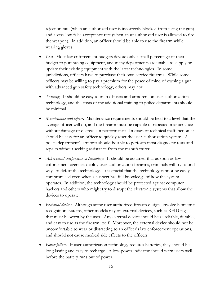rejection rate (when an authorized user is incorrectly blocked from using the gun) and a very low false-acceptance rate (when an unauthorized user is allowed to fire the weapon). In addition, an officer should be able to use the firearm while wearing gloves.

- *Cost.* Most law enforcement budgets devote only a small percentage of their budget to purchasing equipment, and many departments are unable to supply or update their existing equipment with the latest technologies. In some jurisdictions, officers have to purchase their own service firearms. While some officers may be willing to pay a premium for the peace of mind of owning a gun with advanced gun safety technology, others may not.
- *Training.* It should be easy to train officers and armorers on user-authorization technology, and the costs of the additional training to police departments should be minimal.
- *Maintenance and repair*. Maintenance requirements should be held to a level that the average officer will do, and the firearm must be capable of repeated maintenance without damage or decrease in performance. In cases of technical malfunction, it should be easy for an officer to quickly reset the user-authorization system. A police department's armorer should be able to perform most diagnostic tests and repairs without seeking assistance from the manufacturer.
- *Adversarial compromise of technology*. It should be assumed that as soon as law enforcement agencies deploy user-authorization firearms, criminals will try to find ways to defeat the technology. It is crucial that the technology cannot be easily compromised even when a suspect has full knowledge of how the system operates. In addition, the technology should be protected against computer hackers and others who might try to disrupt the electronic systems that allow the devices to operate.
- *External devices.* Although some user-authorized firearm designs involve biometric recognition systems, other models rely on external devices, such as RFID tags, that must be worn by the user. Any external device should be as reliable, durable, and easy to use as the firearm itself. Moreover, the external device should not be uncomfortable to wear or distracting to an officer's law enforcement operations, and should not cause medical side effects to the officers.
- *Power failure.* If user-authorization technology requires batteries, they should be long-lasting and easy to recharge. A low-power indicator should warn users well before the battery runs out of power.